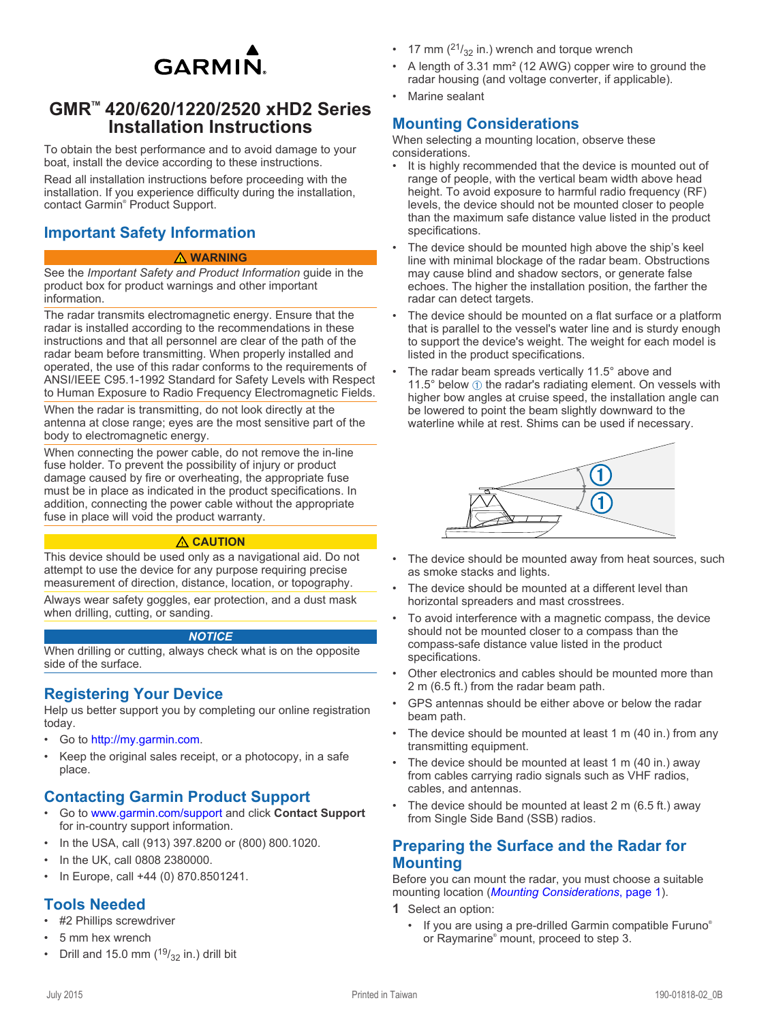

# <span id="page-0-0"></span>**GMR™ 420/620/1220/2520 xHD2 Series Installation Instructions**

To obtain the best performance and to avoid damage to your boat, install the device according to these instructions.

Read all installation instructions before proceeding with the installation. If you experience difficulty during the installation, contact Garmin® Product Support.

# **Important Safety Information**

#### **WARNING**

See the *Important Safety and Product Information* guide in the product box for product warnings and other important information.

The radar transmits electromagnetic energy. Ensure that the radar is installed according to the recommendations in these instructions and that all personnel are clear of the path of the radar beam before transmitting. When properly installed and operated, the use of this radar conforms to the requirements of ANSI/IEEE C95.1-1992 Standard for Safety Levels with Respect to Human Exposure to Radio Frequency Electromagnetic Fields.

When the radar is transmitting, do not look directly at the antenna at close range; eyes are the most sensitive part of the body to electromagnetic energy.

When connecting the power cable, do not remove the in-line fuse holder. To prevent the possibility of injury or product damage caused by fire or overheating, the appropriate fuse must be in place as indicated in the product specifications. In addition, connecting the power cable without the appropriate fuse in place will void the product warranty.

#### **CAUTION**

This device should be used only as a navigational aid. Do not attempt to use the device for any purpose requiring precise measurement of direction, distance, location, or topography.

Always wear safety goggles, ear protection, and a dust mask when drilling, cutting, or sanding.

#### *NOTICE*

When drilling or cutting, always check what is on the opposite side of the surface.

## **Registering Your Device**

Help us better support you by completing our online registration today.

- Go to [http://my.garmin.com.](http://my.garmin.com)
- Keep the original sales receipt, or a photocopy, in a safe place.

## **Contacting Garmin Product Support**

- Go to [www.garmin.com/support](http://www.garmin.com/support/) and click **Contact Support**  for in-country support information.
- In the USA, call (913) 397.8200 or (800) 800.1020.
- In the UK, call 0808 2380000.
- In Europe, call +44 (0) 870.8501241.

## **Tools Needed**

- #2 Phillips screwdriver
- 5 mm hex wrench
- Drill and 15.0 mm  $(^{19}/_{32}$  in.) drill bit
- 17 mm  $\binom{21}{32}$  in.) wrench and torque wrench
- A length of 3.31 mm² (12 AWG) copper wire to ground the radar housing (and voltage converter, if applicable).
- Marine sealant

## **Mounting Considerations**

When selecting a mounting location, observe these considerations.

- It is highly recommended that the device is mounted out of range of people, with the vertical beam width above head height. To avoid exposure to harmful radio frequency (RF) levels, the device should not be mounted closer to people than the maximum safe distance value listed in the product specifications.
- The device should be mounted high above the ship's keel line with minimal blockage of the radar beam. Obstructions may cause blind and shadow sectors, or generate false echoes. The higher the installation position, the farther the radar can detect targets.
- The device should be mounted on a flat surface or a platform that is parallel to the vessel's water line and is sturdy enough to support the device's weight. The weight for each model is listed in the product specifications.
- The radar beam spreads vertically 11.5° above and 11.5 $^{\circ}$  below  $\odot$  the radar's radiating element. On vessels with higher bow angles at cruise speed, the installation angle can be lowered to point the beam slightly downward to the waterline while at rest. Shims can be used if necessary.



- The device should be mounted away from heat sources, such as smoke stacks and lights.
- The device should be mounted at a different level than horizontal spreaders and mast crosstrees.
- To avoid interference with a magnetic compass, the device should not be mounted closer to a compass than the compass-safe distance value listed in the product specifications.
- Other electronics and cables should be mounted more than 2 m (6.5 ft.) from the radar beam path.
- GPS antennas should be either above or below the radar beam path.
- The device should be mounted at least 1 m (40 in.) from any transmitting equipment.
- The device should be mounted at least 1 m (40 in.) away from cables carrying radio signals such as VHF radios, cables, and antennas.
- The device should be mounted at least  $2 \text{ m}$  (6.5 ft.) away from Single Side Band (SSB) radios.

### **Preparing the Surface and the Radar for Mounting**

Before you can mount the radar, you must choose a suitable mounting location (*Mounting Considerations*, page 1).

**1** Select an option:

If you are using a pre-drilled Garmin compatible Furuno® or Raymarine® mount, proceed to step 3.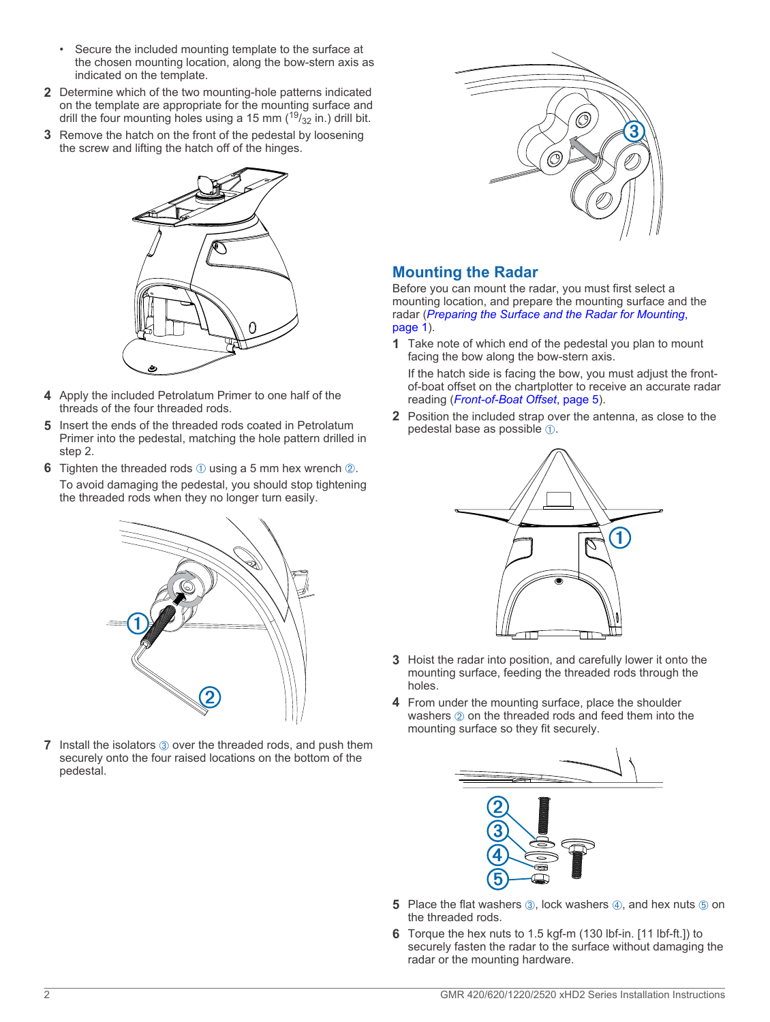- <span id="page-1-0"></span>• Secure the included mounting template to the surface at the chosen mounting location, along the bow-stern axis as indicated on the template.
- **2** Determine which of the two mounting-hole patterns indicated on the template are appropriate for the mounting surface and drill the four mounting holes using a 15 mm  $(^{19}/_{32}$  in.) drill bit.
- **3** Remove the hatch on the front of the pedestal by loosening the screw and lifting the hatch off of the hinges.



- **4** Apply the included Petrolatum Primer to one half of the threads of the four threaded rods.
- **5** Insert the ends of the threaded rods coated in Petrolatum Primer into the pedestal, matching the hole pattern drilled in step 2.
- **6** Tighten the threaded rods  $\oplus$  using a 5 mm hex wrench  $\otimes$ .
- To avoid damaging the pedestal, you should stop tightening the threaded rods when they no longer turn easily.



**7** Install the isolators  $\circled{3}$  over the threaded rods, and push them securely onto the four raised locations on the bottom of the pedestal.



## **Mounting the Radar**

Before you can mount the radar, you must first select a mounting location, and prepare the mounting surface and the radar (*[Preparing the Surface and the Radar for Mounting](#page-0-0)*, [page 1](#page-0-0)).

**1** Take note of which end of the pedestal you plan to mount facing the bow along the bow-stern axis.

If the hatch side is facing the bow, you must adjust the frontof-boat offset on the chartplotter to receive an accurate radar reading (*[Front-of-Boat Offset](#page-4-0)*, page 5).

**2** Position the included strap over the antenna, as close to the pedestal base as possible  $(1)$ .



- **3** Hoist the radar into position, and carefully lower it onto the mounting surface, feeding the threaded rods through the holes.
- **4** From under the mounting surface, place the shoulder washers  $\oslash$  on the threaded rods and feed them into the mounting surface so they fit securely.



- **5** Place the flat washers **<b>3**, lock washers **4**, and hex nuts **5** on the threaded rods.
- **6** Torque the hex nuts to 1.5 kgf-m (130 lbf-in. [11 lbf-ft.]) to securely fasten the radar to the surface without damaging the radar or the mounting hardware.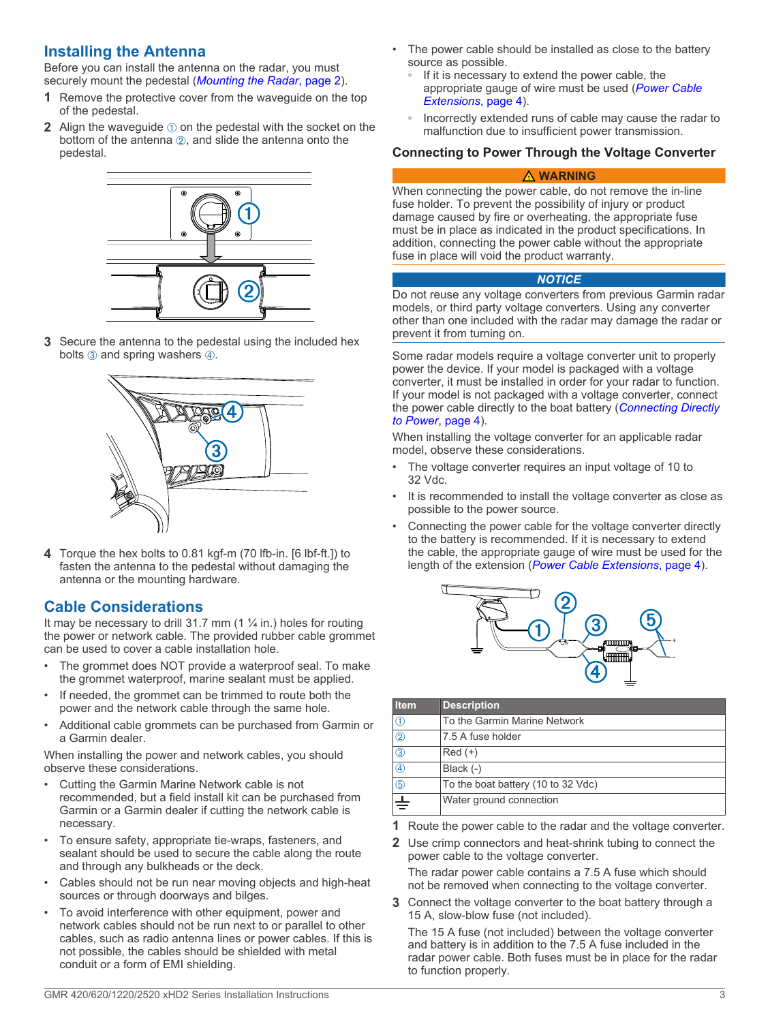## **Installing the Antenna**

Before you can install the antenna on the radar, you must securely mount the pedestal (*[Mounting the Radar](#page-1-0)*, page 2).

- **1** Remove the protective cover from the waveguide on the top of the pedestal.
- **2** Align the waveguide  $\oplus$  on the pedestal with the socket on the bottom of the antenna  $(2)$ , and slide the antenna onto the pedestal.



**3** Secure the antenna to the pedestal using the included hex bolts  $\circled{3}$  and spring washers  $\circled{4}$ .



**4** Torque the hex bolts to 0.81 kgf-m (70 lfb-in. [6 lbf-ft.]) to fasten the antenna to the pedestal without damaging the antenna or the mounting hardware.

## **Cable Considerations**

It may be necessary to drill 31.7 mm (1 ¼ in.) holes for routing the power or network cable. The provided rubber cable grommet can be used to cover a cable installation hole.

- The grommet does NOT provide a waterproof seal. To make the grommet waterproof, marine sealant must be applied.
- If needed, the grommet can be trimmed to route both the power and the network cable through the same hole.
- Additional cable grommets can be purchased from Garmin or a Garmin dealer.

When installing the power and network cables, you should observe these considerations.

- Cutting the Garmin Marine Network cable is not recommended, but a field install kit can be purchased from Garmin or a Garmin dealer if cutting the network cable is necessary.
- To ensure safety, appropriate tie-wraps, fasteners, and sealant should be used to secure the cable along the route and through any bulkheads or the deck.
- Cables should not be run near moving objects and high-heat sources or through doorways and bilges.
- To avoid interference with other equipment, power and network cables should not be run next to or parallel to other cables, such as radio antenna lines or power cables. If this is not possible, the cables should be shielded with metal conduit or a form of EMI shielding.
- The power cable should be installed as close to the battery source as possible.
	- If it is necessary to extend the power cable, the appropriate gauge of wire must be used (*[Power Cable](#page-3-0) [Extensions](#page-3-0)*, page 4).
	- Incorrectly extended runs of cable may cause the radar to malfunction due to insufficient power transmission.

### **Connecting to Power Through the Voltage Converter**

#### **WARNING**

When connecting the power cable, do not remove the in-line fuse holder. To prevent the possibility of injury or product damage caused by fire or overheating, the appropriate fuse must be in place as indicated in the product specifications. In addition, connecting the power cable without the appropriate fuse in place will void the product warranty.

#### *NOTICE*

Do not reuse any voltage converters from previous Garmin radar models, or third party voltage converters. Using any converter other than one included with the radar may damage the radar or prevent it from turning on.

Some radar models require a voltage converter unit to properly power the device. If your model is packaged with a voltage converter, it must be installed in order for your radar to function. If your model is not packaged with a voltage converter, connect the power cable directly to the boat battery (*[Connecting Directly](#page-3-0)  [to Power](#page-3-0)*, page 4).

When installing the voltage converter for an applicable radar model, observe these considerations.

- The voltage converter requires an input voltage of 10 to 32 Vdc.
- It is recommended to install the voltage converter as close as possible to the power source.
- Connecting the power cable for the voltage converter directly to the battery is recommended. If it is necessary to extend the cable, the appropriate gauge of wire must be used for the length of the extension (*[Power Cable Extensions](#page-3-0)*, page 4).



| <b>Item</b>    | <b>Description</b>                 |
|----------------|------------------------------------|
| ⊕              | To the Garmin Marine Network       |
| $\overline{2}$ | 7.5 A fuse holder                  |
| $\circledS$    | $Red (+)$                          |
| $^{\circledR}$ | Black $(-)$                        |
| $^\circledR$   | To the boat battery (10 to 32 Vdc) |
| $\pm$          | Water ground connection            |

**1** Route the power cable to the radar and the voltage converter.

**2** Use crimp connectors and heat-shrink tubing to connect the power cable to the voltage converter. The radar power cable contains a 7.5 A fuse which should

not be removed when connecting to the voltage converter.

**3** Connect the voltage converter to the boat battery through a 15 A, slow-blow fuse (not included).

The 15 A fuse (not included) between the voltage converter and battery is in addition to the 7.5 A fuse included in the radar power cable. Both fuses must be in place for the radar to function properly.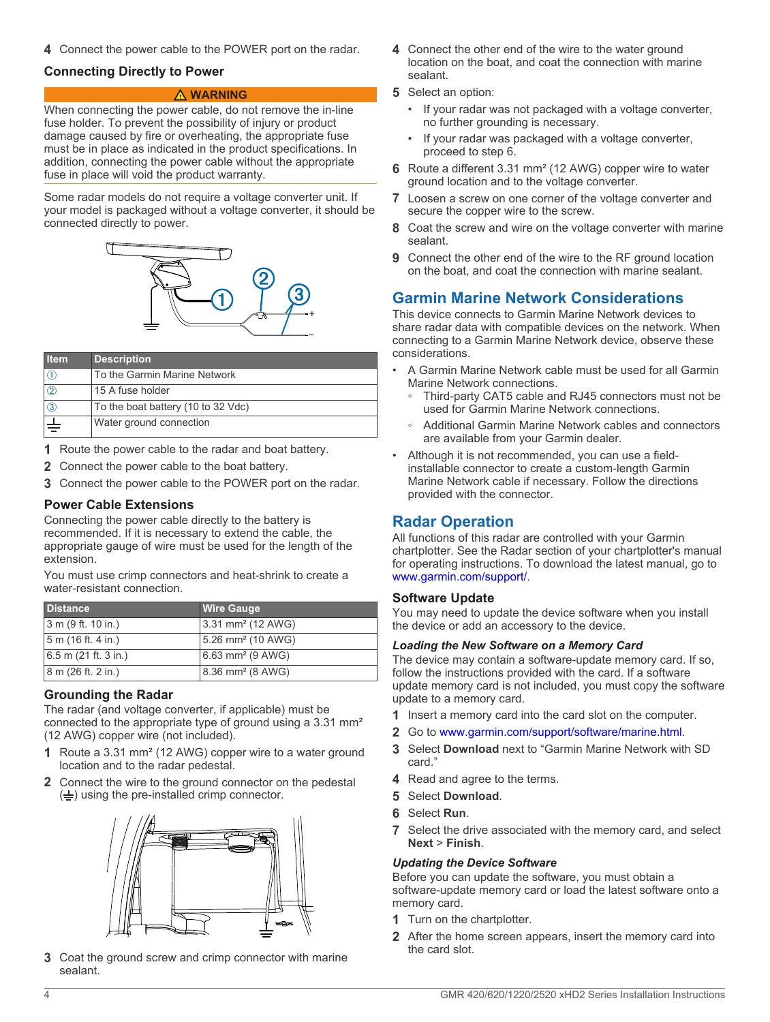<span id="page-3-0"></span>**4** Connect the power cable to the POWER port on the radar.

### **Connecting Directly to Power**

#### **WARNING**

When connecting the power cable, do not remove the in-line fuse holder. To prevent the possibility of injury or product damage caused by fire or overheating, the appropriate fuse must be in place as indicated in the product specifications. In addition, connecting the power cable without the appropriate fuse in place will void the product warranty.

Some radar models do not require a voltage converter unit. If your model is packaged without a voltage converter, it should be connected directly to power.



| <b>Item</b>   | <b>Description</b>                 |
|---------------|------------------------------------|
|               | To the Garmin Marine Network       |
| $\circled{2}$ | 15 A fuse holder                   |
| $\circled{3}$ | To the boat battery (10 to 32 Vdc) |
|               | Water ground connection            |

**1** Route the power cable to the radar and boat battery.

- **2** Connect the power cable to the boat battery.
- **3** Connect the power cable to the POWER port on the radar.

### **Power Cable Extensions**

Connecting the power cable directly to the battery is recommended. If it is necessary to extend the cable, the appropriate gauge of wire must be used for the length of the extension.

You must use crimp connectors and heat-shrink to create a water-resistant connection.

| <b>Distance</b>        | <b>Wire Gauge</b>             |
|------------------------|-------------------------------|
| 3 m (9 ft. 10 in.)     | 3.31 mm <sup>2</sup> (12 AWG) |
| 5 m (16 ft. 4 in.)     | 5.26 mm <sup>2</sup> (10 AWG) |
| $6.5$ m (21 ft. 3 in.) | 6.63 mm <sup>2</sup> (9 AWG)  |
| 8 m (26 ft. 2 in.)     | 8.36 mm <sup>2</sup> (8 AWG)  |

### **Grounding the Radar**

The radar (and voltage converter, if applicable) must be connected to the appropriate type of ground using a 3.31 mm² (12 AWG) copper wire (not included).

- **1** Route a 3.31 mm² (12 AWG) copper wire to a water ground location and to the radar pedestal.
- **2** Connect the wire to the ground connector on the pedestal  $(\frac{1}{\sqrt{2}})$  using the pre-installed crimp connector.



**3** Coat the ground screw and crimp connector with marine sealant.

- **4** Connect the other end of the wire to the water ground location on the boat, and coat the connection with marine sealant.
- **5** Select an option:
	- If your radar was not packaged with a voltage converter, no further grounding is necessary.
	- If your radar was packaged with a voltage converter, proceed to step 6.
- **6** Route a different 3.31 mm² (12 AWG) copper wire to water ground location and to the voltage converter.
- **7** Loosen a screw on one corner of the voltage converter and secure the copper wire to the screw.
- **8** Coat the screw and wire on the voltage converter with marine sealant.
- **9** Connect the other end of the wire to the RF ground location on the boat, and coat the connection with marine sealant.

## **Garmin Marine Network Considerations**

This device connects to Garmin Marine Network devices to share radar data with compatible devices on the network. When connecting to a Garmin Marine Network device, observe these considerations.

- A Garmin Marine Network cable must be used for all Garmin Marine Network connections.
	- Third-party CAT5 cable and RJ45 connectors must not be used for Garmin Marine Network connections.
	- Additional Garmin Marine Network cables and connectors are available from your Garmin dealer.
- Although it is not recommended, you can use a fieldinstallable connector to create a custom-length Garmin Marine Network cable if necessary. Follow the directions provided with the connector.

## **Radar Operation**

All functions of this radar are controlled with your Garmin chartplotter. See the Radar section of your chartplotter's manual for operating instructions. To download the latest manual, go to [www.garmin.com/support/.](http://www.garmin.com/support/)

### **Software Update**

You may need to update the device software when you install the device or add an accessory to the device.

#### *Loading the New Software on a Memory Card*

The device may contain a software-update memory card. If so, follow the instructions provided with the card. If a software update memory card is not included, you must copy the software update to a memory card.

- **1** Insert a memory card into the card slot on the computer.
- **2** Go to [www.garmin.com/support/software/marine.html.](http://www.garmin.com/support/software/marine.html)
- **3** Select **Download** next to "Garmin Marine Network with SD card."
- **4** Read and agree to the terms.
- **5** Select **Download**.
- **6** Select **Run**.
- **7** Select the drive associated with the memory card, and select **Next** > **Finish**.

#### *Updating the Device Software*

Before you can update the software, you must obtain a software-update memory card or load the latest software onto a memory card.

- **1** Turn on the chartplotter.
- **2** After the home screen appears, insert the memory card into the card slot.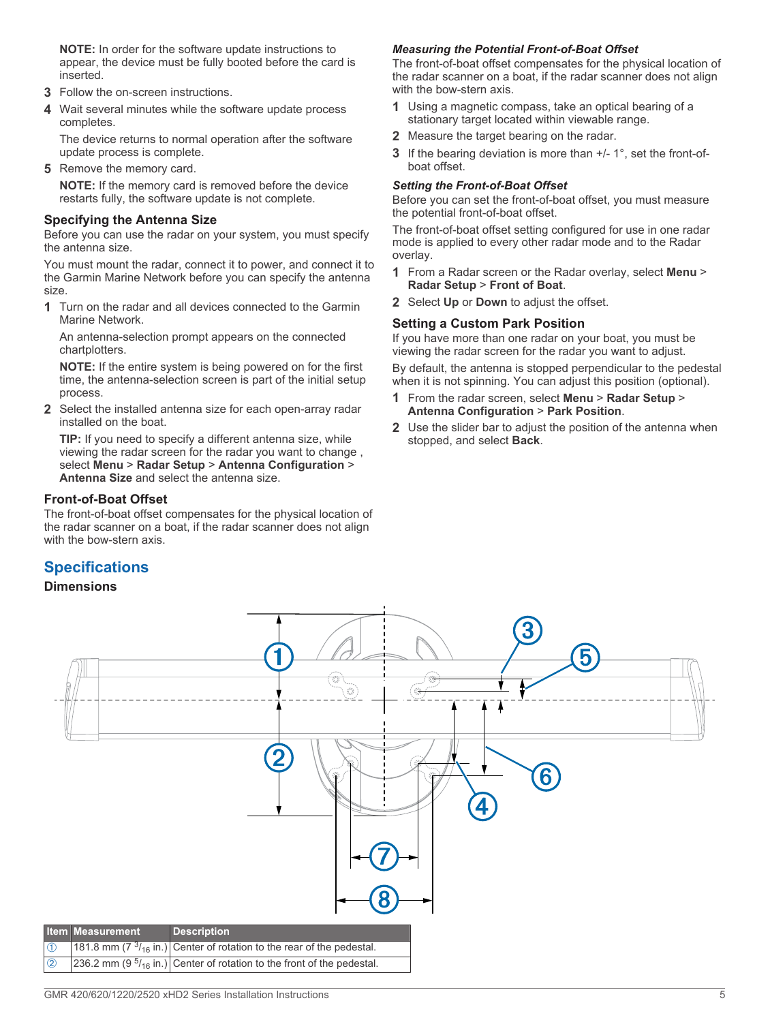<span id="page-4-0"></span>**NOTE:** In order for the software update instructions to appear, the device must be fully booted before the card is inserted.

- **3** Follow the on-screen instructions.
- **4** Wait several minutes while the software update process completes.

The device returns to normal operation after the software update process is complete.

**5** Remove the memory card.

**NOTE:** If the memory card is removed before the device restarts fully, the software update is not complete.

#### **Specifying the Antenna Size**

Before you can use the radar on your system, you must specify the antenna size.

You must mount the radar, connect it to power, and connect it to the Garmin Marine Network before you can specify the antenna size.

**1** Turn on the radar and all devices connected to the Garmin Marine Network.

An antenna-selection prompt appears on the connected chartplotters.

**NOTE:** If the entire system is being powered on for the first time, the antenna-selection screen is part of the initial setup process.

**2** Select the installed antenna size for each open-array radar installed on the boat.

**TIP:** If you need to specify a different antenna size, while viewing the radar screen for the radar you want to change , select **Menu** > **Radar Setup** > **Antenna Configuration** > **Antenna Size** and select the antenna size.

### **Front-of-Boat Offset**

The front-of-boat offset compensates for the physical location of the radar scanner on a boat, if the radar scanner does not align with the bow-stern axis.

## **Specifications**

### **Dimensions**

### *Measuring the Potential Front-of-Boat Offset*

The front-of-boat offset compensates for the physical location of the radar scanner on a boat, if the radar scanner does not align with the bow-stern axis.

- **1** Using a magnetic compass, take an optical bearing of a stationary target located within viewable range.
- **2** Measure the target bearing on the radar.
- **3** If the bearing deviation is more than  $+/- 1^\circ$ , set the front-ofboat offset.

#### *Setting the Front-of-Boat Offset*

Before you can set the front-of-boat offset, you must measure the potential front-of-boat offset.

The front-of-boat offset setting configured for use in one radar mode is applied to every other radar mode and to the Radar overlay.

- **1** From a Radar screen or the Radar overlay, select **Menu** > **Radar Setup** > **Front of Boat**.
- **2** Select **Up** or **Down** to adjust the offset.

#### **Setting a Custom Park Position**

If you have more than one radar on your boat, you must be viewing the radar screen for the radar you want to adjust.

By default, the antenna is stopped perpendicular to the pedestal when it is not spinning. You can adjust this position (optional).

- **1** From the radar screen, select **Menu** > **Radar Setup** > **Antenna Configuration** > **Park Position**.
- **2** Use the slider bar to adjust the position of the antenna when stopped, and select **Back**.

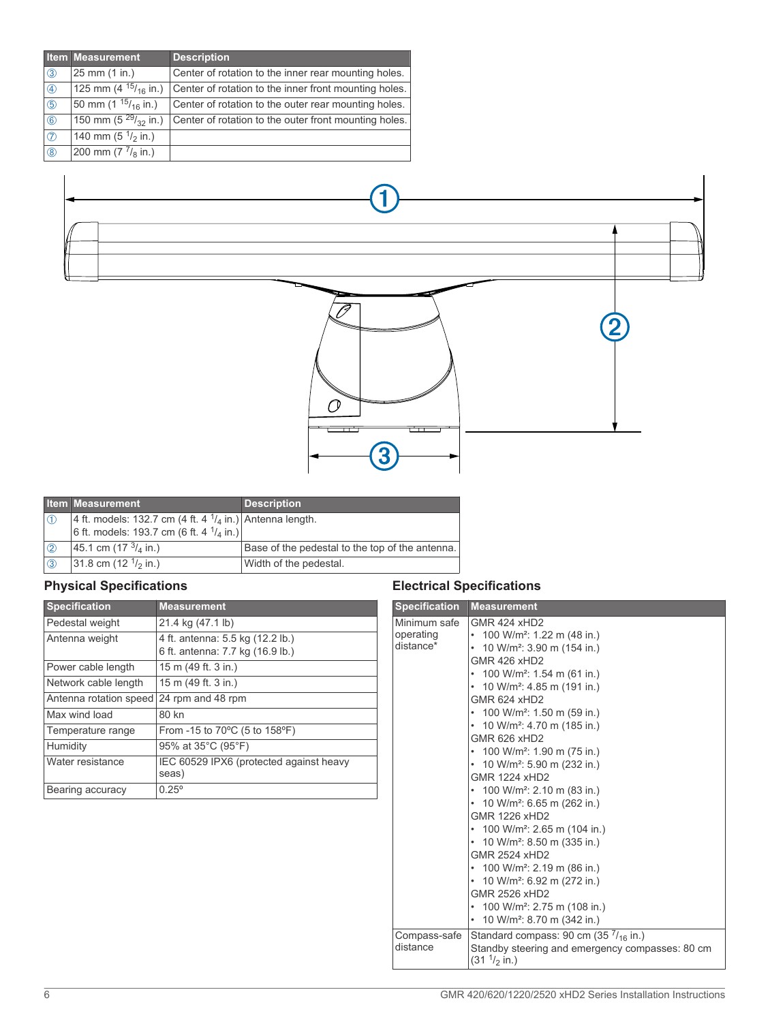|                | <b>Item Measurement</b>              | <b>Description</b>                                    |
|----------------|--------------------------------------|-------------------------------------------------------|
| $\circled{3}$  | 25 mm (1 in.)                        | Center of rotation to the inner rear mounting holes.  |
| $\circled{4}$  | 125 mm (4 $15/16$ in.)               | Center of rotation to the inner front mounting holes. |
| (5)            | 50 mm (1 $15/16$ in.)                | Center of rotation to the outer rear mounting holes.  |
| $\circledast$  | 150 mm (5 $^{29}/_{32}$ in.)         | Center of rotation to the outer front mounting holes. |
| $\circledcirc$ | 140 mm (5 $\frac{1}{2}$ in.)         |                                                       |
| $\circledR$    | 200 mm $(7 \frac{7}{8} \text{ in.})$ |                                                       |





|               | <b>Item Measurement</b>                                            | <b>Description</b>                              |
|---------------|--------------------------------------------------------------------|-------------------------------------------------|
| l ①           | 4 ft. models: 132.7 cm (4 ft. 4 $\frac{1}{4}$ in.) Antenna length. |                                                 |
|               | 6 ft. models: 193.7 cm (6 ft. 4 $\frac{1}{4}$ in.)                 |                                                 |
| $\mathcal{O}$ | 45.1 cm (17 $\frac{3}{4}$ in.)                                     | Base of the pedestal to the top of the antenna. |
| $\sqrt{3}$    | 31.8 cm $(121/2$ in.)                                              | Width of the pedestal.                          |

# **Physical Specifications**

| <b>Specification</b>   | <b>Measurement</b>                                                   |
|------------------------|----------------------------------------------------------------------|
| Pedestal weight        | 21.4 kg (47.1 lb)                                                    |
| Antenna weight         | 4 ft. antenna: 5.5 kg (12.2 lb.)<br>6 ft. antenna: 7.7 kg (16.9 lb.) |
| Power cable length     | 15 m (49 ft. 3 in.)                                                  |
| Network cable length   | 15 m (49 ft. 3 in.)                                                  |
| Antenna rotation speed | 24 rpm and 48 rpm                                                    |
| Max wind load          | 80 kn                                                                |
| Temperature range      | From -15 to 70°C (5 to 158°F)                                        |
| Humidity               | 95% at 35°C (95°F)                                                   |
| Water resistance       | IEC 60529 IPX6 (protected against heavy<br>seas)                     |
| Bearing accuracy       | $0.25^{\circ}$                                                       |

# **Electrical Specifications**

| <b>Specification</b> | <b>Measurement</b>                                                                      |
|----------------------|-----------------------------------------------------------------------------------------|
| Minimum safe         | GMR 424 xHD2                                                                            |
| operating            | 100 W/m <sup>2</sup> : 1.22 m (48 in.)                                                  |
| distance*            | 10 W/m <sup>2</sup> : 3.90 m (154 in.)<br>٠                                             |
|                      | GMR 426 xHD2                                                                            |
|                      | 100 W/m <sup>2</sup> : 1.54 m (61 in.)                                                  |
|                      | • 10 W/m <sup>2</sup> : 4.85 m (191 in.)                                                |
|                      | GMR 624 xHD2                                                                            |
|                      | • 100 W/m <sup>2</sup> : 1.50 m (59 in.)                                                |
|                      | • 10 W/m <sup>2</sup> : 4.70 m (185 in.)                                                |
|                      | GMR 626 xHD2                                                                            |
|                      | • 100 W/m <sup>2</sup> : 1.90 m (75 in.)                                                |
|                      | • 10 W/m <sup>2</sup> : 5.90 m (232 in.)                                                |
|                      | GMR 1224 xHD2                                                                           |
|                      | • 100 W/m <sup>2</sup> : 2.10 m (83 in.)                                                |
|                      | • 10 W/m <sup>2</sup> : 6.65 m (262 in.)                                                |
|                      | GMR 1226 xHD2                                                                           |
|                      | • 100 W/m <sup>2</sup> : 2.65 m (104 in.)                                               |
|                      | • 10 W/m <sup>2</sup> : 8.50 m (335 in.)                                                |
|                      | <b>GMR 2524 xHD2</b>                                                                    |
|                      | • 100 W/m <sup>2</sup> : 2.19 m (86 in.)                                                |
|                      | • 10 W/m <sup>2</sup> : 6.92 m (272 in.)                                                |
|                      | GMR 2526 xHD2                                                                           |
|                      | • 100 W/m <sup>2</sup> : 2.75 m (108 in.)                                               |
|                      | • 10 W/m <sup>2</sup> : 8.70 m (342 in.)                                                |
| Compass-safe         | Standard compass: 90 cm (35 $7/16$ in.)                                                 |
| distance             | Standby steering and emergency compasses: 80 cm<br>(31 <sup>1</sup> / <sub>2</sub> in.) |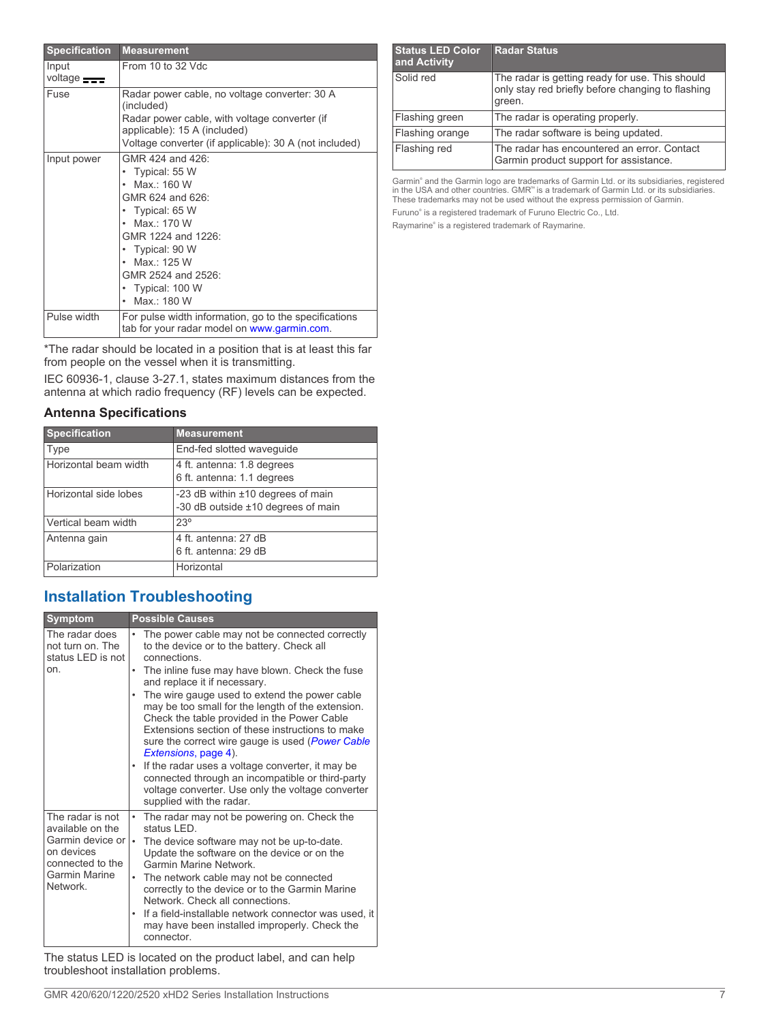| <b>Specification</b>          | <b>Measurement</b>                                                                                                                                                                                                                          |
|-------------------------------|---------------------------------------------------------------------------------------------------------------------------------------------------------------------------------------------------------------------------------------------|
| Input<br>voltage <b>state</b> | From $10$ to $32$ Vdc.                                                                                                                                                                                                                      |
| Fuse                          | Radar power cable, no voltage converter: 30 A<br>(included)<br>Radar power cable, with voltage converter (if                                                                                                                                |
|                               | applicable): 15 A (included)                                                                                                                                                                                                                |
|                               | Voltage converter (if applicable): 30 A (not included)                                                                                                                                                                                      |
| Input power                   | GMR 424 and 426:<br>• Typical: 55 W<br>Max · 160 W<br>GMR 624 and 626:<br>• Typical: 65 W<br>$\bullet$ Max $\cdot$ 170 W<br>GMR 1224 and 1226:<br>• Typical: 90 W<br>• Max.: 125 W<br>GMR 2524 and 2526:<br>• Typical: 100 W<br>Max.: 180 W |
| Pulse width                   | For pulse width information, go to the specifications<br>tab for your radar model on www.garmin.com.                                                                                                                                        |

\*The radar should be located in a position that is at least this far from people on the vessel when it is transmitting.

IEC 60936-1, clause 3-27.1, states maximum distances from the antenna at which radio frequency (RF) levels can be expected.

### **Antenna Specifications**

| <b>Specification</b>  | <b>Measurement</b>                                                      |
|-----------------------|-------------------------------------------------------------------------|
| Type                  | End-fed slotted wavequide                                               |
| Horizontal beam width | 4 ft. antenna: 1.8 degrees<br>6 ft. antenna: 1.1 degrees                |
| Horizontal side lobes | -23 dB within ±10 degrees of main<br>-30 dB outside ±10 degrees of main |
| Vertical beam width   | $23^\circ$                                                              |
| Antenna gain          | 4 ft. antenna: 27 dB<br>6 ft. antenna: 29 dB                            |
| Polarization          | Horizontal                                                              |

# **Installation Troubleshooting**

| <b>Symptom</b>                                                                                                          | <b>Possible Causes</b>                                                                                                                                                                                                                                                                                                                                                                                                                                                                                                                                                                                                                                                                        |
|-------------------------------------------------------------------------------------------------------------------------|-----------------------------------------------------------------------------------------------------------------------------------------------------------------------------------------------------------------------------------------------------------------------------------------------------------------------------------------------------------------------------------------------------------------------------------------------------------------------------------------------------------------------------------------------------------------------------------------------------------------------------------------------------------------------------------------------|
| The radar does<br>not turn on. The<br>status LED is not<br>on.                                                          | The power cable may not be connected correctly<br>to the device or to the battery. Check all<br>connections<br>The inline fuse may have blown. Check the fuse<br>٠<br>and replace it if necessary.<br>The wire gauge used to extend the power cable<br>may be too small for the length of the extension.<br>Check the table provided in the Power Cable<br>Extensions section of these instructions to make<br>sure the correct wire gauge is used (Power Cable<br>Extensions, page 4).<br>If the radar uses a voltage converter, it may be<br>$\bullet$<br>connected through an incompatible or third-party<br>voltage converter. Use only the voltage converter<br>supplied with the radar. |
| The radar is not<br>available on the<br>Garmin device or<br>on devices<br>connected to the<br>Garmin Marine<br>Network. | The radar may not be powering on. Check the<br>$\bullet$<br>status I FD<br>The device software may not be up-to-date.<br>$\bullet$<br>Update the software on the device or on the<br>Garmin Marine Network<br>The network cable may not be connected<br>$\bullet$<br>correctly to the device or to the Garmin Marine<br>Network Check all connections<br>If a field-installable network connector was used, it<br>may have been installed improperly. Check the<br>connector.                                                                                                                                                                                                                 |

The status LED is located on the product label, and can help troubleshoot installation problems.

Garmin® and the Garmin logo are trademarks of Garmin Ltd. or its subsidiaries, registered in the USA and other countries. GMR™ is a trademark of Garmin Ltd. or its subsidiaries. These trademarks may not be used without the express permission of Garmin. Furuno® is a registered trademark of Furuno Electric Co., Ltd.

Raymarine® is a registered trademark of Raymarine.